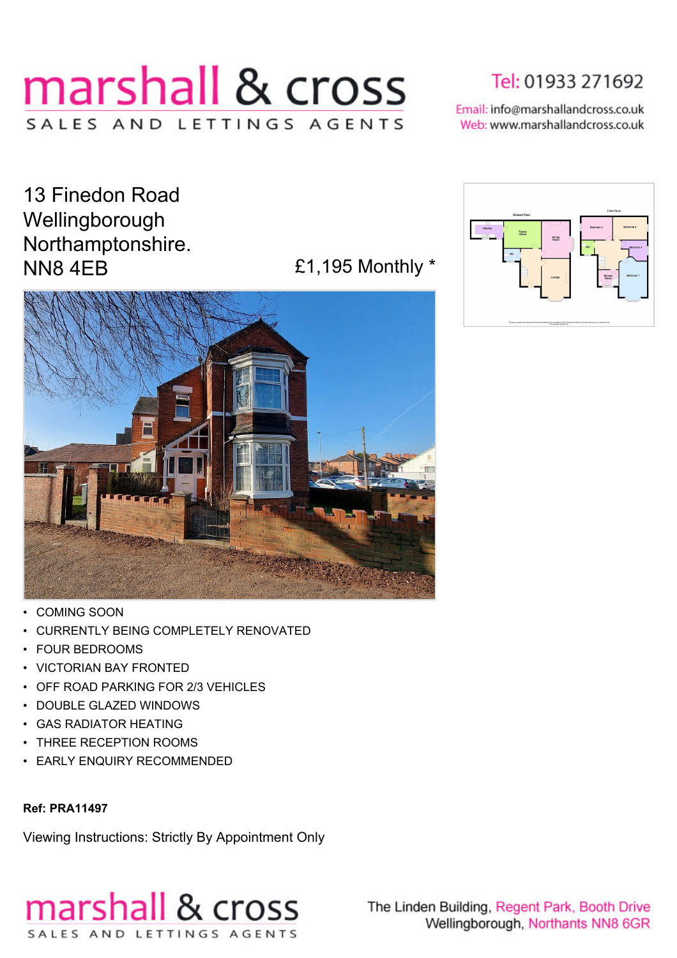# marshall & cross SALES AND LETTINGS AGENTS

Tel: 01933 271692

Email: info@marshallandcross.co.uk Web: www.marshallandcross.co.uk

13 Finedon Road Wellingborough Northamptonshire. NN8 4EB **E1,195 Monthly \*** 



- COMING SOON
- CURRENTLY BEING COMPLETELY RENOVATED
- FOUR BEDROOMS
- VICTORIAN BAY FRONTED
- OFF ROAD PARKING FOR 2/3 VEHICLES
- DOUBLE GLAZED WINDOWS
- GAS RADIATOR HEATING
- THREE RECEPTION ROOMS
- EARLY ENQUIRY RECOMMENDED

#### **Ref: PRA11497**

Viewing Instructions: Strictly By Appointment Only





The Linden Building, Regent Park, Booth Drive Wellingborough, Northants NN8 6GR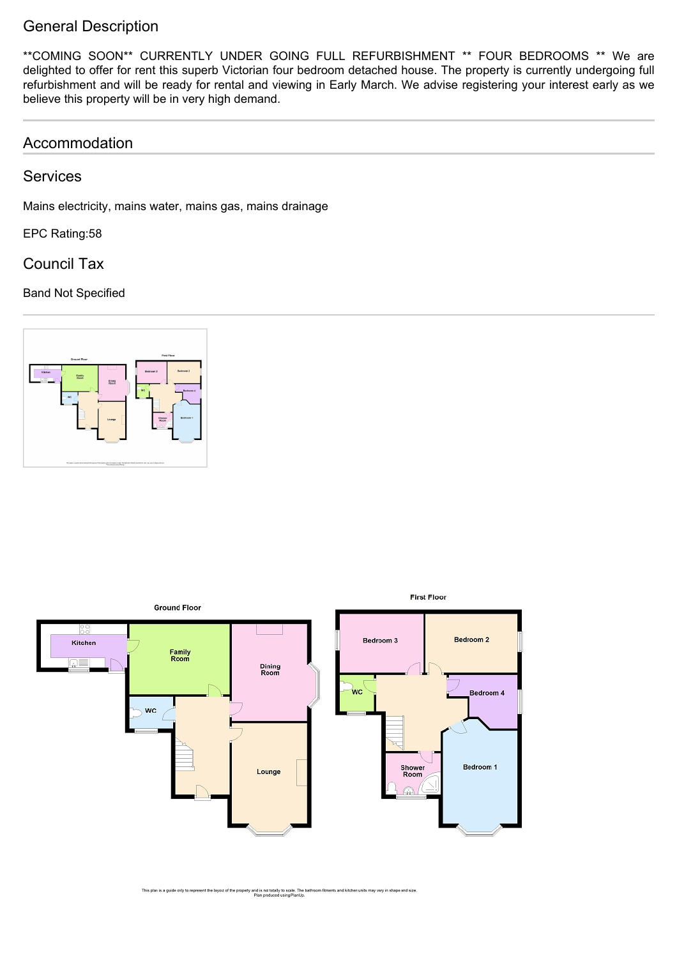## General Description

\*\*COMING SOON\*\* CURRENTLY UNDER GOING FULL REFURBISHMENT \*\* FOUR BEDROOMS \*\* We are delighted to offer for rent this superb Victorian four bedroom detached house. The property is currently undergoing full refurbishment and will be ready for rental and viewing in Early March. We advise registering your interest early as we believe this property will be in very high demand.

## Accommodation

**Services** 

Mains electricity, mains water, mains gas, mains drainage

EPC Rating:58

Council Tax

### Band Not Specified





This plan is a guide only to represent the layout of the property and is not totally to scale. The bathroom fitments and kitchen units may vary in shape and size